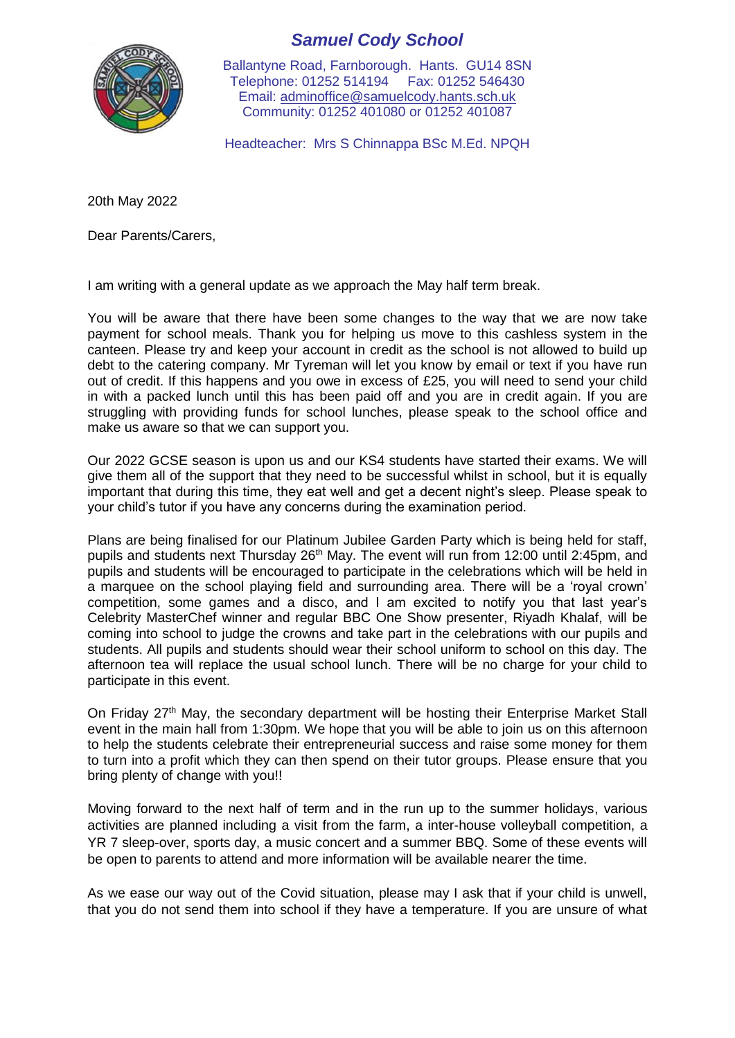

*Samuel Cody School*

Ballantyne Road, Farnborough. Hants. GU14 8SN Telephone: 01252 514194 Fax: 01252 546430 Email: [adminoffice@samuelcody.hants.sch.uk](mailto:adminoffice@samuelcody.hants.sch.uk) Community: 01252 401080 or 01252 401087

Headteacher: Mrs S Chinnappa BSc M.Ed. NPQH

20th May 2022

Dear Parents/Carers,

I am writing with a general update as we approach the May half term break.

You will be aware that there have been some changes to the way that we are now take payment for school meals. Thank you for helping us move to this cashless system in the canteen. Please try and keep your account in credit as the school is not allowed to build up debt to the catering company. Mr Tyreman will let you know by email or text if you have run out of credit. If this happens and you owe in excess of £25, you will need to send your child in with a packed lunch until this has been paid off and you are in credit again. If you are struggling with providing funds for school lunches, please speak to the school office and make us aware so that we can support you.

Our 2022 GCSE season is upon us and our KS4 students have started their exams. We will give them all of the support that they need to be successful whilst in school, but it is equally important that during this time, they eat well and get a decent night's sleep. Please speak to your child's tutor if you have any concerns during the examination period.

Plans are being finalised for our Platinum Jubilee Garden Party which is being held for staff, pupils and students next Thursday 26<sup>th</sup> May. The event will run from 12:00 until 2:45pm, and pupils and students will be encouraged to participate in the celebrations which will be held in a marquee on the school playing field and surrounding area. There will be a 'royal crown' competition, some games and a disco, and I am excited to notify you that last year's Celebrity MasterChef winner and regular BBC One Show presenter, Riyadh Khalaf, will be coming into school to judge the crowns and take part in the celebrations with our pupils and students. All pupils and students should wear their school uniform to school on this day. The afternoon tea will replace the usual school lunch. There will be no charge for your child to participate in this event.

On Friday 27<sup>th</sup> May, the secondary department will be hosting their Enterprise Market Stall event in the main hall from 1:30pm. We hope that you will be able to join us on this afternoon to help the students celebrate their entrepreneurial success and raise some money for them to turn into a profit which they can then spend on their tutor groups. Please ensure that you bring plenty of change with you!!

Moving forward to the next half of term and in the run up to the summer holidays, various activities are planned including a visit from the farm, a inter-house volleyball competition, a YR 7 sleep-over, sports day, a music concert and a summer BBQ. Some of these events will be open to parents to attend and more information will be available nearer the time.

As we ease our way out of the Covid situation, please may I ask that if your child is unwell, that you do not send them into school if they have a temperature. If you are unsure of what